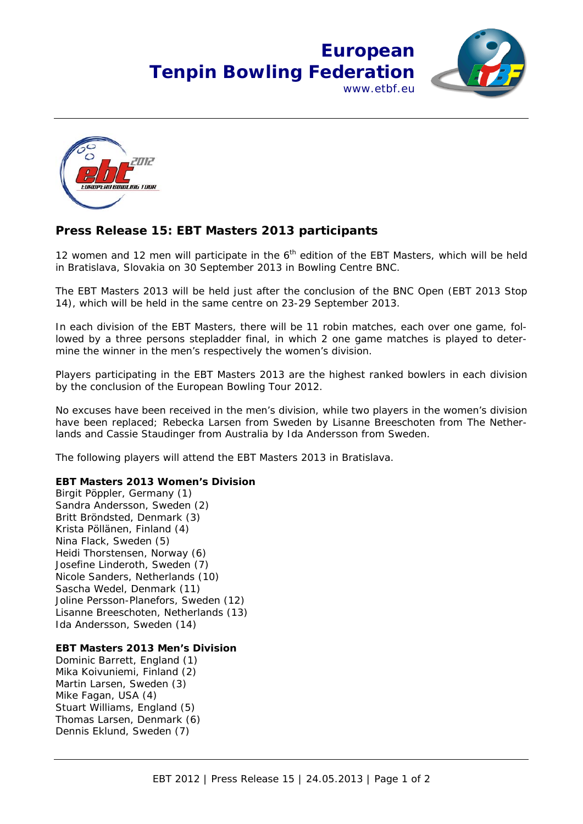## **European Tenpin Bowling Federation** www.ethf.eu





## **Press Release 15: EBT Masters 2013 participants**

12 women and 12 men will participate in the 6<sup>th</sup> edition of the EBT Masters, which will be held in Bratislava, Slovakia on 30 September 2013 in Bowling Centre BNC.

The EBT Masters 2013 will be held just after the conclusion of the BNC Open (EBT 2013 Stop 14), which will be held in the same centre on 23-29 September 2013.

In each division of the EBT Masters, there will be 11 robin matches, each over one game, followed by a three persons stepladder final, in which 2 one game matches is played to determine the winner in the men's respectively the women's division.

Players participating in the EBT Masters 2013 are the highest ranked bowlers in each division by the conclusion of the European Bowling Tour 2012.

No excuses have been received in the men's division, while two players in the women's division have been replaced; Rebecka Larsen from Sweden by Lisanne Breeschoten from The Netherlands and Cassie Staudinger from Australia by Ida Andersson from Sweden.

The following players will attend the EBT Masters 2013 in Bratislava.

## **EBT Masters 2013 Women's Division**

Birgit Pöppler, Germany (1) Sandra Andersson, Sweden (2) Britt Bröndsted, Denmark (3) Krista Pöllänen, Finland (4) Nina Flack, Sweden (5) Heidi Thorstensen, Norway (6) Josefine Linderoth, Sweden (7) Nicole Sanders, Netherlands (10) Sascha Wedel, Denmark (11) Joline Persson-Planefors, Sweden (12) Lisanne Breeschoten, Netherlands (13) Ida Andersson, Sweden (14)

## **EBT Masters 2013 Men's Division**

Dominic Barrett, England (1) Mika Koivuniemi, Finland (2) Martin Larsen, Sweden (3) Mike Fagan, USA (4) Stuart Williams, England (5) Thomas Larsen, Denmark (6) Dennis Eklund, Sweden (7)